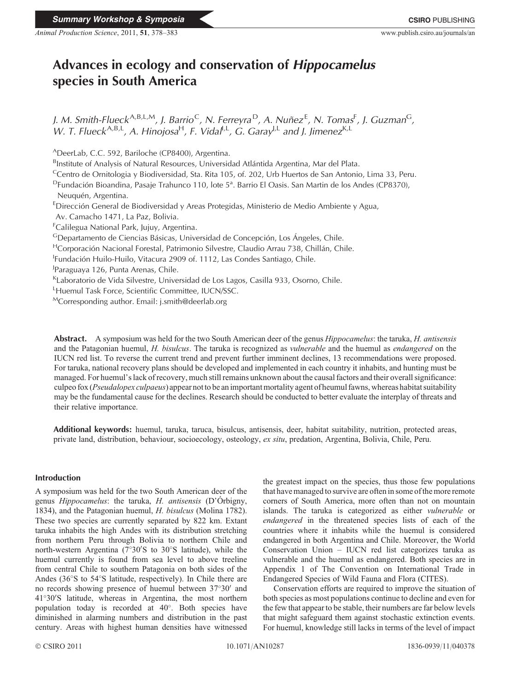*Animal Production Science*, 2011, **51**, 378–383 www.publish.csiro.au/journals/an

# **Advances in ecology and conservation of** *Hippocamelus* **species in South America**

*J. M. Smith-Flueck*A*,*B*,*L*,*M*, J. Barrio*C*, N. Ferreyra* <sup>D</sup>*, A. Nuñez*<sup>E</sup> *, N. Tomas*<sup>F</sup> *, J. Guzman*G*, W. T. Flueck*<sup>A,B,L</sup>, A. Hinojosa<sup>H</sup>, F. Vidal<sup>I,L</sup>, G. Garay<sup>J,L</sup> and J. Jimenez<sup>K,L</sup>

ADeerLab, C.C. 592, Bariloche (CP8400), Argentina.

<sup>B</sup>Institute of Analysis of Natural Resources, Universidad Atlántida Argentina, Mar del Plata.

<sup>C</sup>Centro de Ornitologia y Biodiversidad, Sta. Rita 105, of. 202, Urb Huertos de San Antonio, Lima 33, Peru.

<sup>D</sup>Fundación Bioandina, Pasaje Trahunco 110, lote 5<sup>a</sup>. Barrio El Oasis. San Martin de los Andes (CP8370), Neuquén, Argentina.

<sup>E</sup>Dirección General de Biodiversidad y Areas Protegidas, Ministerio de Medio Ambiente y Agua,

Av. Camacho 1471, La Paz, Bolivia.

F Calilegua National Park, Jujuy, Argentina.

GDepartamento de Ciencias Básicas, Universidad de Concepción, Los Ángeles, Chile.

HCorporación Nacional Forestal, Patrimonio Silvestre, Claudio Arrau 738, Chillán, Chile.

<sup>I</sup>Fundación Huilo-Huilo, Vitacura 2909 of. 1112, Las Condes Santiago, Chile.

<sup>J</sup>Paraguaya 126, Punta Arenas, Chile.

<sup>K</sup>Laboratorio de Vida Silvestre, Universidad de Los Lagos, Casilla 933, Osorno, Chile.

LHuemul Task Force, Scientific Committee, IUCN/SSC.

<sup>M</sup>Corresponding author. Email: j.smith@deerlab.org

**Abstract.** A symposium was held for the two South American deer of the genus *Hippocamelus*: the taruka, *H. antisensis* and the Patagonian huemul, *H. bisulcus*. The taruka is recognized as *vulnerable* and the huemul as *endangered* on the IUCN red list. To reverse the current trend and prevent further imminent declines, 13 recommendations were proposed. For taruka, national recovery plans should be developed and implemented in each country it inhabits, and hunting must be managed. For huemul's lack of recovery, much still remains unknown about the causal factors and their overall significance: culpeo fox (*Pseudalopex culpaeus*) appear not to be an important mortality agent of heumul fawns, whereas habitat suitability may be the fundamental cause for the declines. Research should be conducted to better evaluate the interplay of threats and their relative importance.

**Additional keywords:** huemul, taruka, taruca, bisulcus, antisensis, deer, habitat suitability, nutrition, protected areas, private land, distribution, behaviour, socioecology, osteology, *ex situ*, predation, Argentina, Bolivia, Chile, Peru.

# **Introduction**

A symposium was held for the two South American deer of the genus *Hippocamelus*: the taruka, *H. antisensis* (D'Órbigny, 1834), and the Patagonian huemul, *H. bisulcus* (Molina 1782). These two species are currently separated by 822 km. Extant taruka inhabits the high Andes with its distribution stretching from northern Peru through Bolivia to northern Chile and north-western Argentina ( $7^{\circ}30^{\prime}$ S to  $30^{\circ}$ S latitude), while the huemul currently is found from sea level to above treeline from central Chile to southern Patagonia on both sides of the Andes (36 S to 54 S latitude, respectively). In Chile there are no records showing presence of huemul between  $37^{\circ}30'$  and 41°30'S latitude, whereas in Argentina, the most northern population today is recorded at 40 . Both species have diminished in alarming numbers and distribution in the past century. Areas with highest human densities have witnessed

the greatest impact on the species, thus those few populations that have managed to survive are often in some of the more remote corners of South America, more often than not on mountain islands. The taruka is categorized as either *vulnerable* or *endangered* in the threatened species lists of each of the countries where it inhabits while the huemul is considered endangered in both Argentina and Chile. Moreover, the World Conservation Union – IUCN red list categorizes taruka as vulnerable and the huemul as endangered. Both species are in Appendix 1 of The Convention on International Trade in Endangered Species of Wild Fauna and Flora (CITES).

Conservation efforts are required to improve the situation of both species as most populations continue to decline and even for the few that appear to be stable, their numbers are far below levels that might safeguard them against stochastic extinction events. For huemul, knowledge still lacks in terms of the level of impact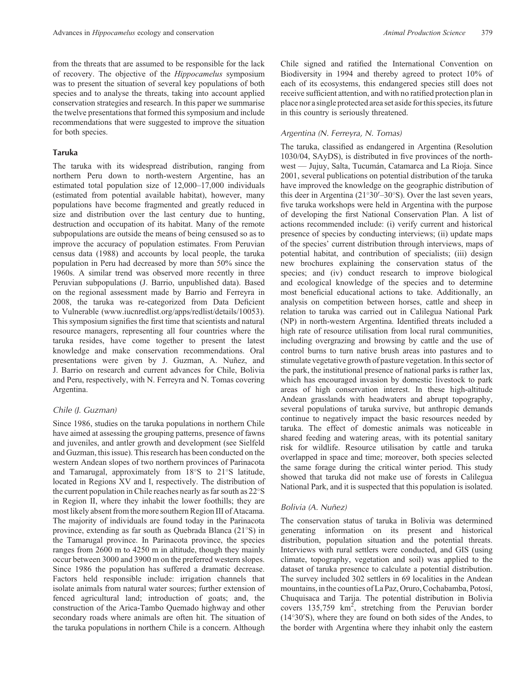from the threats that are assumed to be responsible for the lack of recovery. The objective of the *Hippocamelus* symposium was to present the situation of several key populations of both species and to analyse the threats, taking into account applied conservation strategies and research. In this paper we summarise the twelve presentations that formed this symposium and include recommendations that were suggested to improve the situation for both species.

## **Taruka**

The taruka with its widespread distribution, ranging from northern Peru down to north-western Argentine, has an estimated total population size of 12,000–17,000 individuals (estimated from potential available habitat), however, many populations have become fragmented and greatly reduced in size and distribution over the last century due to hunting, destruction and occupation of its habitat. Many of the remote subpopulations are outside the means of being censused so as to improve the accuracy of population estimates. From Peruvian census data (1988) and accounts by local people, the taruka population in Peru had decreased by more than 50% since the 1960s. A similar trend was observed more recently in three Peruvian subpopulations (J. Barrio, unpublished data). Based on the regional assessment made by Barrio and Ferreyra in 2008, the taruka was re-categorized from Data Deficient to Vulnerable [\(www.iucnredlist.org/apps/redlist/details/10053](www.iucnredlist.org/apps/redlist/details/10053)). This symposium signifies the first time that scientists and natural resource managers, representing all four countries where the taruka resides, have come together to present the latest knowledge and make conservation recommendations. Oral presentations were given by J. Guzman, A. Nuñez, and J. Barrio on research and current advances for Chile, Bolivia and Peru, respectively, with N. Ferreyra and N. Tomas covering Argentina.

### *Chile (J. Guzman)*

Since 1986, studies on the taruka populations in northern Chile have aimed at assessing the grouping patterns, presence of fawns and juveniles, and antler growth and development (see Sielfeld and Guzman, this issue). This research has been conducted on the western Andean slopes of two northern provinces of Parinacota and Tamarugal, approximately from 18 S to 21 S latitude, located in Regions XV and I, respectively. The distribution of the current population in Chile reaches nearly as far south as 22 S in Region II, where they inhabit the lower foothills; they are most likely absent from the more southern Region III of Atacama. The majority of individuals are found today in the Parinacota province, extending as far south as Quebrada Blanca (21°S) in the Tamarugal province. In Parinacota province, the species ranges from 2600 m to 4250 m in altitude, though they mainly occur between 3000 and 3900 m on the preferred western slopes. Since 1986 the population has suffered a dramatic decrease. Factors held responsible include: irrigation channels that isolate animals from natural water sources; further extension of fenced agricultural land; introduction of goats; and, the construction of the Arica-Tambo Quemado highway and other secondary roads where animals are often hit. The situation of the taruka populations in northern Chile is a concern. Although

Chile signed and ratified the International Convention on Biodiversity in 1994 and thereby agreed to protect 10% of each of its ecosystems, this endangered species still does not receive sufficient attention, and with no ratified protection plan in place nor a single protected area set aside for this species, its future in this country is seriously threatened.

### *Argentina (N. Ferreyra, N. Tomas)*

The taruka, classified as endangered in Argentina (Resolution 1030/04, SAyDS), is distributed in five provinces of the northwest — Jujuy, Salta, Tucumán, Catamarca and La Rioja. Since 2001, several publications on potential distribution of the taruka have improved the knowledge on the geographic distribution of this deer in Argentina  $(21°30' - 30°S)$ . Over the last seven years, five taruka workshops were held in Argentina with the purpose of developing the first National Conservation Plan. A list of actions recommended include: (i) verify current and historical presence of species by conducting interviews; (ii) update maps of the species' current distribution through interviews, maps of potential habitat, and contribution of specialists; (iii) design new brochures explaining the conservation status of the species; and (iv) conduct research to improve biological and ecological knowledge of the species and to determine most beneficial educational actions to take. Additionally, an analysis on competition between horses, cattle and sheep in relation to taruka was carried out in Calilegua National Park (NP) in north-western Argentina. Identified threats included a high rate of resource utilisation from local rural communities, including overgrazing and browsing by cattle and the use of control burns to turn native brush areas into pastures and to stimulate vegetative growth of pasture vegetation. In this sector of the park, the institutional presence of national parks is rather lax, which has encouraged invasion by domestic livestock to park areas of high conservation interest. In these high-altitude Andean grasslands with headwaters and abrupt topography, several populations of taruka survive, but anthropic demands continue to negatively impact the basic resources needed by taruka. The effect of domestic animals was noticeable in shared feeding and watering areas, with its potential sanitary risk for wildlife. Resource utilisation by cattle and taruka overlapped in space and time; moreover, both species selected the same forage during the critical winter period. This study showed that taruka did not make use of forests in Calilegua National Park, and it is suspected that this population is isolated.

#### *Bolivia (A. Nuñez)*

The conservation status of taruka in Bolivia was determined generating information on its present and historical distribution, population situation and the potential threats. Interviews with rural settlers were conducted, and GIS (using climate, topography, vegetation and soil) was applied to the dataset of taruka presence to calculate a potential distribution. The survey included 302 settlers in 69 localities in the Andean mountains, in the counties of La Paz, Oruro, Cochabamba, Potosí, Chuquisaca and Tarija. The potential distribution in Bolivia covers  $135,759$  km<sup>2</sup>, stretching from the Peruvian border  $(14°30'S)$ , where they are found on both sides of the Andes, to the border with Argentina where they inhabit only the eastern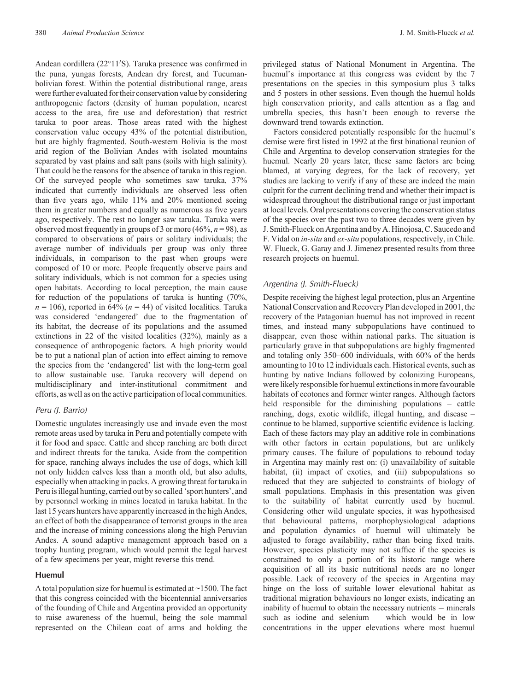Andean cordillera (22°11'S). Taruka presence was confirmed in the puna, yungas forests, Andean dry forest, and Tucumanbolivian forest. Within the potential distributional range, areas were further evaluated for their conservation value by considering anthropogenic factors (density of human population, nearest access to the area, fire use and deforestation) that restrict taruka to poor areas. Those areas rated with the highest conservation value occupy 43% of the potential distribution, but are highly fragmented. South-western Bolivia is the most arid region of the Bolivian Andes with isolated mountains separated by vast plains and salt pans (soils with high salinity). That could be the reasons for the absence of taruka in this region. Of the surveyed people who sometimes saw taruka, 37% indicated that currently individuals are observed less often than five years ago, while 11% and 20% mentioned seeing them in greater numbers and equally as numerous as five years ago, respectively. The rest no longer saw taruka. Taruka were observed most frequently in groups of 3 or more  $(46\%, n=98)$ , as compared to observations of pairs or solitary individuals; the average number of individuals per group was only three individuals, in comparison to the past when groups were composed of 10 or more. People frequently observe pairs and solitary individuals, which is not common for a species using open habitats. According to local perception, the main cause for reduction of the populations of taruka is hunting (70%,  $n = 106$ ), reported in 64% ( $n = 44$ ) of visited localities. Taruka was considered 'endangered' due to the fragmentation of its habitat, the decrease of its populations and the assumed extinctions in 22 of the visited localities (32%), mainly as a consequence of anthropogenic factors. A high priority would be to put a national plan of action into effect aiming to remove the species from the 'endangered' list with the long-term goal to allow sustainable use. Taruka recovery will depend on multidisciplinary and inter-institutional commitment and efforts, as well as on the active participation of local communities.

### *Peru (J. Barrio)*

Domestic ungulates increasingly use and invade even the most remote areas used by taruka in Peru and potentially compete with it for food and space. Cattle and sheep ranching are both direct and indirect threats for the taruka. Aside from the competition for space, ranching always includes the use of dogs, which kill not only hidden calves less than a month old, but also adults, especially when attacking in packs. A growing threat for taruka in Peru is illegal hunting, carried out by so called 'sport hunters', and by personnel working in mines located in taruka habitat. In the last 15 years hunters have apparently increased in the high Andes, an effect of both the disappearance of terrorist groups in the area and the increase of mining concessions along the high Peruvian Andes. A sound adaptive management approach based on a trophy hunting program, which would permit the legal harvest of a few specimens per year, might reverse this trend.

# **Huemul**

A total population size for huemul is estimated at  $\sim$ 1500. The fact that this congress coincided with the bicentennial anniversaries of the founding of Chile and Argentina provided an opportunity to raise awareness of the huemul, being the sole mammal represented on the Chilean coat of arms and holding the

privileged status of National Monument in Argentina. The huemul's importance at this congress was evident by the 7 presentations on the species in this symposium plus 3 talks and 5 posters in other sessions. Even though the huemul holds high conservation priority, and calls attention as a flag and umbrella species, this hasn't been enough to reverse the downward trend towards extinction.

Factors considered potentially responsible for the huemul's demise were first listed in 1992 at the first binational reunion of Chile and Argentina to develop conservation strategies for the huemul. Nearly 20 years later, these same factors are being blamed, at varying degrees, for the lack of recovery, yet studies are lacking to verify if any of these are indeed the main culprit for the current declining trend and whether their impact is widespread throughout the distributional range or just important at local levels. Oral presentations covering the conservation status of the species over the past two to three decades were given by J. Smith-Flueck on Argentina and by A. Hinojosa, C. Saucedo and F. Vidal on *in-situ* and *ex-situ* populations, respectively, in Chile. W. Flueck, G. Garay and J. Jimenez presented results from three research projects on huemul.

## *Argentina (J. Smith-Flueck)*

Despite receiving the highest legal protection, plus an Argentine National Conservation and Recovery Plan developed in 2001, the recovery of the Patagonian huemul has not improved in recent times, and instead many subpopulations have continued to disappear, even those within national parks. The situation is particularly grave in that subpopulations are highly fragmented and totaling only 350–600 individuals, with 60% of the herds amounting to 10 to 12 individuals each. Historical events, such as hunting by native Indians followed by colonizing Europeans, were likely responsible for huemul extinctions in more favourable habitats of ecotones and former winter ranges. Although factors held responsible for the diminishing populations – cattle ranching, dogs, exotic wildlife, illegal hunting, and disease – continue to be blamed, supportive scientific evidence is lacking. Each of these factors may play an additive role in combinations with other factors in certain populations, but are unlikely primary causes. The failure of populations to rebound today in Argentina may mainly rest on: (i) unavailability of suitable habitat, (ii) impact of exotics, and (iii) subpopulations so reduced that they are subjected to constraints of biology of small populations. Emphasis in this presentation was given to the suitability of habitat currently used by huemul. Considering other wild ungulate species, it was hypothesised that behavioural patterns, morphophysiological adaptions and population dynamics of huemul will ultimately be adjusted to forage availability, rather than being fixed traits. However, species plasticity may not suffice if the species is constrained to only a portion of its historic range where acquisition of all its basic nutritional needs are no longer possible. Lack of recovery of the species in Argentina may hinge on the loss of suitable lower elevational habitat as traditional migration behaviours no longer exists, indicating an inability of huemul to obtain the necessary nutrients  $-$  minerals such as iodine and selenium  $-$  which would be in low concentrations in the upper elevations where most huemul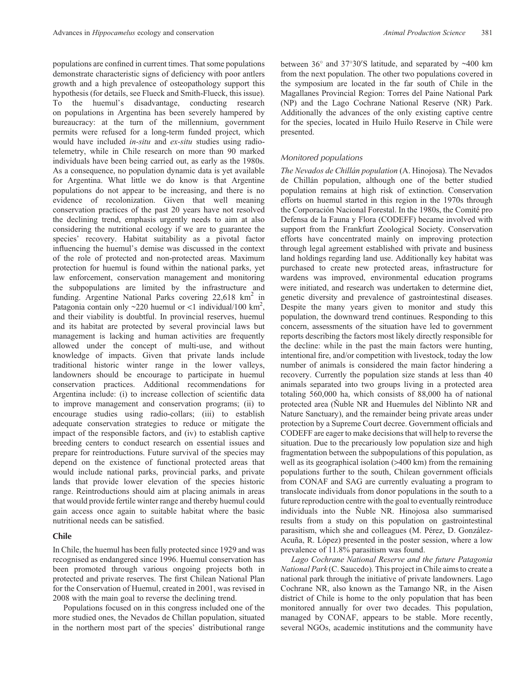populations are confined in current times. That some populations demonstrate characteristic signs of deficiency with poor antlers growth and a high prevalence of osteopathology support this hypothesis (for details, see Flueck and Smith-Flueck, this issue). To the huemul's disadvantage, conducting research on populations in Argentina has been severely hampered by bureaucracy: at the turn of the millennium, government permits were refused for a long-term funded project, which would have included *in-situ* and *ex-situ* studies using radiotelemetry, while in Chile research on more than 90 marked individuals have been being carried out, as early as the 1980s. As a consequence, no population dynamic data is yet available for Argentina. What little we do know is that Argentine populations do not appear to be increasing, and there is no evidence of recolonization. Given that well meaning conservation practices of the past 20 years have not resolved the declining trend, emphasis urgently needs to aim at also considering the nutritional ecology if we are to guarantee the species' recovery. Habitat suitability as a pivotal factor influencing the huemul's demise was discussed in the context of the role of protected and non-protected areas. Maximum protection for huemul is found within the national parks, yet law enforcement, conservation management and monitoring the subpopulations are limited by the infrastructure and funding. Argentine National Parks covering  $22,618 \text{ km}^2$  in Patagonia contain only  $\sim$ 220 huemul or <1 individual/100 km<sup>2</sup>, and their viability is doubtful. In provincial reserves, huemul and its habitat are protected by several provincial laws but management is lacking and human activities are frequently allowed under the concept of multi-use, and without knowledge of impacts. Given that private lands include traditional historic winter range in the lower valleys, landowners should be encourage to participate in huemul conservation practices. Additional recommendations for Argentina include: (i) to increase collection of scientific data to improve management and conservation programs; (ii) to encourage studies using radio-collars; (iii) to establish adequate conservation strategies to reduce or mitigate the impact of the responsible factors, and (iv) to establish captive breeding centers to conduct research on essential issues and prepare for reintroductions. Future survival of the species may depend on the existence of functional protected areas that would include national parks, provincial parks, and private lands that provide lower elevation of the species historic range. Reintroductions should aim at placing animals in areas that would provide fertile winter range and thereby huemul could gain access once again to suitable habitat where the basic nutritional needs can be satisfied.

## **Chile**

In Chile, the huemul has been fully protected since 1929 and was recognised as endangered since 1996. Huemul conservation has been promoted through various ongoing projects both in protected and private reserves. The first Chilean National Plan for the Conservation of Huemul, created in 2001, was revised in 2008 with the main goal to reverse the declining trend.

Populations focused on in this congress included one of the more studied ones, the Nevados de Chillan population, situated in the northern most part of the species' distributional range

between  $36^{\circ}$  and  $37^{\circ}30'$ S latitude, and separated by  $\sim$ 400 km from the next population. The other two populations covered in the symposium are located in the far south of Chile in the Magallanes Provincial Region: Torres del Paine National Park (NP) and the Lago Cochrane National Reserve (NR) Park. Additionally the advances of the only existing captive centre for the species, located in Huilo Huilo Reserve in Chile were presented.

## *Monitored populations*

*The Nevados de Chillán population* (A. Hinojosa). The Nevados de Chillán population, although one of the better studied population remains at high risk of extinction. Conservation efforts on huemul started in this region in the 1970s through the Corporación Nacional Forestal. In the 1980s, the Comité pro Defensa de la Fauna y Flora (CODEFF) became involved with support from the Frankfurt Zoological Society. Conservation efforts have concentrated mainly on improving protection through legal agreement established with private and business land holdings regarding land use. Additionally key habitat was purchased to create new protected areas, infrastructure for wardens was improved, environmental education programs were initiated, and research was undertaken to determine diet, genetic diversity and prevalence of gastrointestinal diseases. Despite the many years given to monitor and study this population, the downward trend continues. Responding to this concern, assessments of the situation have led to government reports describing the factors most likely directly responsible for the decline: while in the past the main factors were hunting, intentional fire, and/or competition with livestock, today the low number of animals is considered the main factor hindering a recovery. Currently the population size stands at less than 40 animals separated into two groups living in a protected area totaling 560,000 ha, which consists of 88,000 ha of national protected area (Ñuble NR and Huemules del Niblinto NR and Nature Sanctuary), and the remainder being private areas under protection by a Supreme Court decree. Government officials and CODEFF are eager to make decisions that will help to reverse the situation. Due to the precariously low population size and high fragmentation between the subpopulations of this population, as well as its geographical isolation (>400 km) from the remaining populations further to the south, Chilean government officials from CONAF and SAG are currently evaluating a program to translocate individuals from donor populations in the south to a future reproduction centre with the goal to eventually reintroduce individuals into the Ñuble NR. Hinojosa also summarised results from a study on this population on gastrointestinal parasitism, which she and colleagues (M. Pérez, D. González-Acuña, R. López) presented in the poster session, where a low prevalence of 11.8% parasitism was found.

*Lago Cochrane National Reserve and the future Patagonia National Park* (C. Saucedo). This project in Chile aims to create a national park through the initiative of private landowners. Lago Cochrane NR, also known as the Tamango NR, in the Aisen district of Chile is home to the only population that has been monitored annually for over two decades. This population, managed by CONAF, appears to be stable. More recently, several NGOs, academic institutions and the community have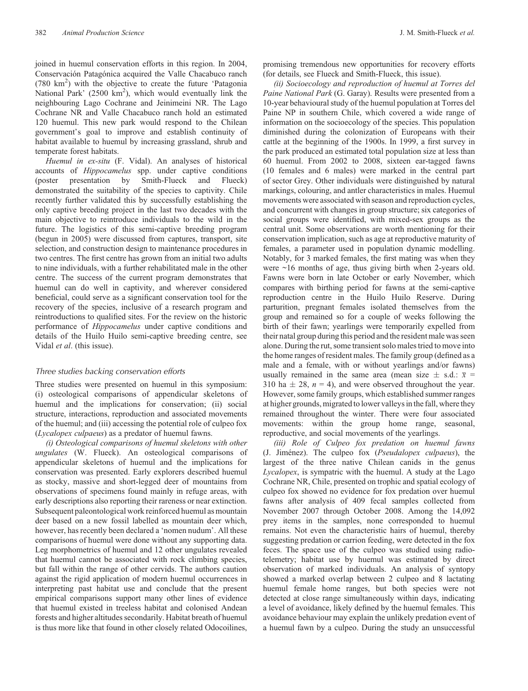joined in huemul conservation efforts in this region. In 2004, Conservación Patagónica acquired the Valle Chacabuco ranch (780 km<sup>2</sup>) with the objective to create the future 'Patagonia National Park' (2500 km<sup>2</sup>), which would eventually link the neighbouring Lago Cochrane and Jeinimeini NR. The Lago Cochrane NR and Valle Chacabuco ranch hold an estimated 120 huemul. This new park would respond to the Chilean government's goal to improve and establish continuity of habitat available to huemul by increasing grassland, shrub and temperate forest habitats.

*Huemul in ex-situ* (F. Vidal). An analyses of historical accounts of *Hippocamelus* spp. under captive conditions (poster presentation by Smith-Flueck and Flueck) demonstrated the suitability of the species to captivity. Chile recently further validated this by successfully establishing the only captive breeding project in the last two decades with the main objective to reintroduce individuals to the wild in the future. The logistics of this semi-captive breeding program (begun in 2005) were discussed from captures, transport, site selection, and construction design to maintenance procedures in two centres. The first centre has grown from an initial two adults to nine individuals, with a further rehabilitated male in the other centre. The success of the current program demonstrates that huemul can do well in captivity, and wherever considered beneficial, could serve as a significant conservation tool for the recovery of the species, inclusive of a research program and reintroductions to qualified sites. For the review on the historic performance of *Hippocamelus* under captive conditions and details of the Huilo Huilo semi-captive breeding centre, see Vidal *et al*. (this issue).

#### *Three studies backing conservation efforts*

Three studies were presented on huemul in this symposium: (i) osteological comparisons of appendicular skeletons of huemul and the implications for conservation; (ii) social structure, interactions, reproduction and associated movements of the huemul; and (iii) accessing the potential role of culpeo fox (*Lycalopex culpaeus*) as a predator of huemul fawns.

*(i) Osteological comparisons of huemul skeletons with other ungulates* (W. Flueck). An osteological comparisons of appendicular skeletons of huemul and the implications for conservation was presented. Early explorers described huemul as stocky, massive and short-legged deer of mountains from observations of specimens found mainly in refuge areas, with early descriptions also reporting their rareness or near extinction. Subsequent paleontological work reinforced huemul as mountain deer based on a new fossil labelled as mountain deer which, however, has recently been declared a 'nomen nudum'. All these comparisons of huemul were done without any supporting data. Leg morphometrics of huemul and 12 other ungulates revealed that huemul cannot be associated with rock climbing species, but fall within the range of other cervids. The authors caution against the rigid application of modern huemul occurrences in interpreting past habitat use and conclude that the present empirical comparisons support many other lines of evidence that huemul existed in treeless habitat and colonised Andean forests and higher altitudes secondarily. Habitat breath of huemul is thus more like that found in other closely related Odocoilines,

promising tremendous new opportunities for recovery efforts (for details, see Flueck and Smith-Flueck, this issue).

*(ii) Socioecology and reproduction of huemul at Torres del Paine National Park* (G. Garay). Results were presented from a 10-year behavioural study of the huemul population at Torres del Paine NP in southern Chile, which covered a wide range of information on the socioecology of the species. This population diminished during the colonization of Europeans with their cattle at the beginning of the 1900s. In 1999, a first survey in the park produced an estimated total population size at less than 60 huemul. From 2002 to 2008, sixteen ear-tagged fawns (10 females and 6 males) were marked in the central part of sector Grey. Other individuals were distinguished by natural markings, colouring, and antler characteristics in males. Huemul movements were associated with season and reproduction cycles, and concurrent with changes in group structure; six categories of social groups were identified, with mixed-sex groups as the central unit. Some observations are worth mentioning for their conservation implication, such as age at reproductive maturity of females, a parameter used in population dynamic modelling. Notably, for 3 marked females, the first mating was when they were ~16 months of age, thus giving birth when 2-years old. Fawns were born in late October or early November, which compares with birthing period for fawns at the semi-captive reproduction centre in the Huilo Huilo Reserve. During parturition, pregnant females isolated themselves from the group and remained so for a couple of weeks following the birth of their fawn; yearlings were temporarily expelled from their natal group during this period and the resident male was seen alone. During the rut, some transient solo males tried to move into the home ranges of resident males. The family group (defined as a male and a female, with or without yearlings and/or fawns) usually remained in the same area (mean size  $\pm$  s.d.:  $\bar{x}$  = 310 ha  $\pm$  28,  $n = 4$ ), and were observed throughout the year. However, some family groups, which established summer ranges at higher grounds, migrated to lower valleys in the fall, where they remained throughout the winter. There were four associated movements: within the group home range, seasonal, reproductive, and social movements of the yearlings.

*(iii) Role of Culpeo fox predation on huemul fawns* (J. Jiménez). The culpeo fox (*Pseudalopex culpaeus*), the largest of the three native Chilean canids in the genus *Lycalopex*, is sympatric with the huemul. A study at the Lago Cochrane NR, Chile, presented on trophic and spatial ecology of culpeo fox showed no evidence for fox predation over huemul fawns after analysis of 409 fecal samples collected from November 2007 through October 2008. Among the 14,092 prey items in the samples, none corresponded to huemul remains. Not even the characteristic hairs of huemul, thereby suggesting predation or carrion feeding, were detected in the fox feces. The space use of the culpeo was studied using radiotelemetry; habitat use by huemul was estimated by direct observation of marked individuals. An analysis of syntopy showed a marked overlap between 2 culpeo and 8 lactating huemul female home ranges, but both species were not detected at close range simultaneously within days, indicating a level of avoidance, likely defined by the huemul females. This avoidance behaviour may explain the unlikely predation event of a huemul fawn by a culpeo. During the study an unsuccessful